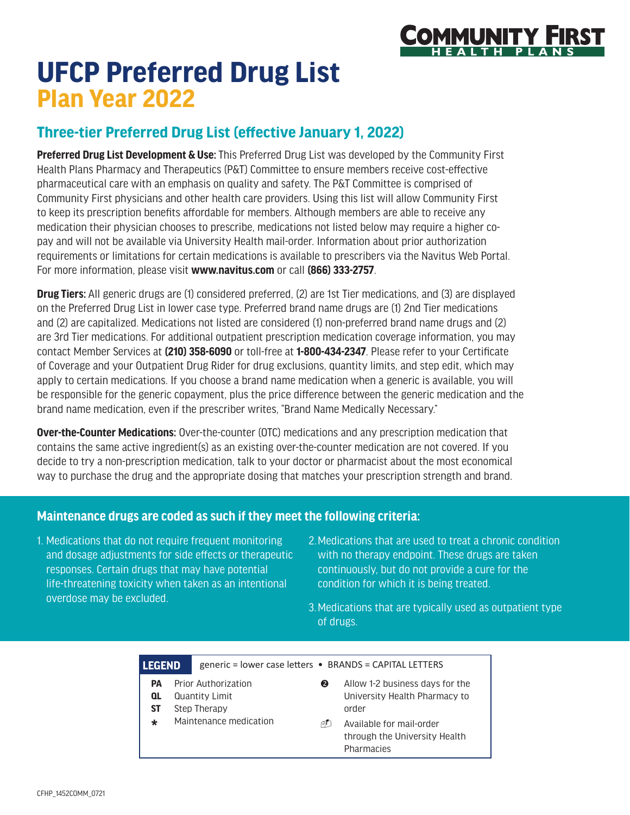

# **UFCP Preferred Drug List Plan Year 2022**

## **Three-tier Preferred Drug List (effective January 1, 2022)**

**Preferred Drug List Development & Use:** This Preferred Drug List was developed by the Community First Health Plans Pharmacy and Therapeutics (P&T) Committee to ensure members receive cost-effective pharmaceutical care with an emphasis on quality and safety. The P&T Committee is comprised of Community First physicians and other health care providers. Using this list will allow Community First to keep its prescription benefits affordable for members. Although members are able to receive any medication their physician chooses to prescribe, medications not listed below may require a higher copay and will not be available via University Health mail-order. Information about prior authorization requirements or limitations for certain medications is available to prescribers via the Navitus Web Portal. For more information, please visit **www.navitus.com** or call **(866) 333-2757**.

**Drug Tiers:** All generic drugs are (1) considered preferred, (2) are 1st Tier medications, and (3) are displayed on the Preferred Drug List in lower case type. Preferred brand name drugs are (1) 2nd Tier medications and (2) are capitalized. Medications not listed are considered (1) non-preferred brand name drugs and (2) are 3rd Tier medications. For additional outpatient prescription medication coverage information, you may contact Member Services at **(210) 358-6090** or toll-free at **1-800-434-2347**. Please refer to your Certificate of Coverage and your Outpatient Drug Rider for drug exclusions, quantity limits, and step edit, which may apply to certain medications. If you choose a brand name medication when a generic is available, you will be responsible for the generic copayment, plus the price difference between the generic medication and the brand name medication, even if the prescriber writes, "Brand Name Medically Necessary."

**Over-the-Counter Medications:** Over-the-counter (OTC) medications and any prescription medication that contains the same active ingredient(s) as an existing over-the-counter medication are not covered. If you decide to try a non-prescription medication, talk to your doctor or pharmacist about the most economical way to purchase the drug and the appropriate dosing that matches your prescription strength and brand.

## **Maintenance drugs are coded as such if they meet the following criteria:**

- 1. Medications that do not require frequent monitoring and dosage adjustments for side effects or therapeutic responses. Certain drugs that may have potential life-threatening toxicity when taken as an intentional overdose may be excluded.
- 2.Medications that are used to treat a chronic condition with no therapy endpoint. These drugs are taken continuously, but do not provide a cure for the condition for which it is being treated.
- 3.Medications that are typically used as outpatient type of drugs.

**LEGEND** generic = lower case letters • BRANDS = CAPITAL LETTERS

- **PA** Prior Authorization
- **QL** Quantity Limit
- **ST** Step Therapy
- **\*** Maintenance medication
- $\bullet$ Allow 1-2 business days for the University Health Pharmacy to order
- ∩া Available for mail-order through the University Health Pharmacies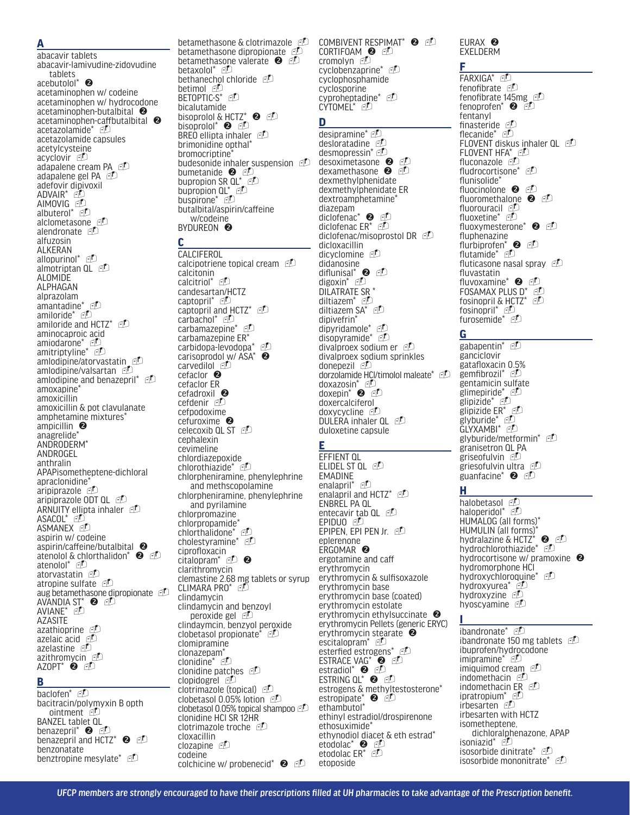### <u>А</u>

abacavir tablets abacavir-lamivudine-zidovudine tablets acebutolol\* <sup>@</sup> acetaminophen w/ codeine acetaminophen w/ hydrocodone acetaminophen-butalbital <sup>@</sup>  $\alpha$ cetaminophen-caffbutalbital  $\bullet$ acetazolamide\* **f** acetazolamide capsules acetylcysteine acyclovir **D** adapalene cream PA D adapalene gel PA **D** adefovir dipivoxil<br>ADVAIR<sup>\*</sup> AIMOVIG CD albuterol<sup>\*</sup> alclometasone **D** alendronate cD alfuzosin ALKERAN allopurinol\* **D** almotriptan QL **D** ALOMIDE ALPHAGAN alprazolam amantadine\* **D** amiloride\* cD amiloride and HCTZ\* cD aminocaproic acid amiodarone\* **D**<br>amitriptyline\* **D** amlodipine/atorvastatin <u>of</u> amlodipine/valsartan **D** amlodipine and benazepril\* **cf** amoxapine\* amoxicillin amoxicillin & pot clavulanate amphetamine mixtures' ampicillin  $\bullet$ anagrelide\* ANDRODERM\* ANDROGEL anthralin APAPisometheptene-dichloral apraclonidine' aripiprazole **D** aripiprazole ODT QL ARNUITY ellipta inhaler ASMANEX OD aspirin w/ codeine aspirin/caffeine/butalbital  $\bullet$ atenolol & chlorthalidon\*  $\bullet$   $\circled{1}$ atenolol\* **D** atorvastatin **D** atropine sulfate **D** aug betamethasone dipropionate  $\bigoplus$ <br>AVANDIA ST\*  $\bigoplus$   $\bigoplus$ AZASITE azathioprine  $\mathbb{C}$ azelaic acid azelastine D azithromycin

## в

baclofen<sup>\*</sup> bacitracin/polymyxin B opth  $o$ intment  $\cap$ **BANZEL tablet QL** benazepril\* <sup>2</sup> benazepril and HCTZ\* <sup>2</sup> benzonatate benztropine mesylate\* <br/>  $\textcircled{\tiny{1}}$ 

betamethasone & clotrimazole  $\mathbb{C}$ betamethasone dipropionate conbetamethasone valerate @ dD betaxolol<sup>\*</sup> bethanechol chloride cD betimol **D** BETOPTIC-S\* **D** bicalutamide bisoprolol & HCTZ\* <sup>O</sup> BREO ellipta inhaler  $\mathbb{D}$ brimonidine opthal\* bromocriptine<sup>®</sup> budesonide inhaler suspension<br>
Dumetanide<br>  $\bigcirc$   $\bigcirc$   $\bigcirc$ <br>
bupropion SR  $\Omega L^*$   $\bigcirc$ bupropion QL\* <u>of</u> butalbital/aspirin/caffeine w/codeine BYDUREON<sup>®</sup>

**CALCIFEROL** calcipotriene topical cream  $\mathbb{C}$ calcitonin calcitriol\* cD candesartan/HCTZ captopril<sup>\*</sup> captopril and HCTZ\* **D**<br>carbachol<sup>\*</sup> **D** carbamazepine\* cD carbamazepine ER\* carbidopa-levodopa\* <sup>ch</sup><br>carisoprodol w/ ASA\* <sup>o</sup> carvedilol **D**  $cefactor$   $\bullet$ cefaclor ER cefadroxil <sup>@</sup> cefdenir **D** cefpodoxime cefuroxime <sup>8</sup> celecoxib QL ST cephalexin cevimeline chlordiazepoxide chlorothiazide\* fD chlorpheniramine, phenylephrine and methscopolamine chlorpheniramine, phenylephrine and pyrilamine chlorpromazine chlorpropamide<sup>\*</sup> chlorthalidone\* **D**<br>cholestyramine\* **D** ciprofloxacin citalopram<sup>\*</sup> *D* **@** clarithromycin clemastine 2.68 mg tablets or syrup CLIMARA PRO<sup>\*</sup> clindamycin clindamycin and benzoyl peroxide gel **D** clindaymcin, benzyol peroxide clobetasol propionate\* **D** clomipramine clonazepam<sup>\*</sup><br>clonidine<sup>\*</sup> clonidine patches clopidogrel <sup>1</sup> clotrimazole (topical) <u>D</u> clobetasol 0.05% lotion cD clobetasol 0.05% topical shampoo cl clonidine HCI SR 12HR clotrimazole troche cloxacillin clozapine **D** codeine colchicine w/ probenecid\*  $\bullet$   $\circ$ 

COMBIVENT RESPIMAT\*  $\bullet$   $\circled{1}$ CORTIFOAM <sup>8</sup> cromolyn **D** cyclobenzaprine\* **D** cyclophosphamide cyclosporine cyproheptadine\* **D**<br>CYTOMEL\* **D** 

desipramine\* **D** desloratadine **D** desmopressin\* **D** desoximetasone <sup>2</sup> dexamethasone <sup>2</sup> dexmethylphenidate dexmethylphenidate ER dextroamphetamine<sup>\*</sup> diazepam diclofenac<sup>\*</sup>  $\bullet$   $\circ$ diclofenac  $ER^* \n\mathbb{Z}$ diclofenac/misoprostol DR @ dicloxacillin dicyclomine **D** didanosine diflunisal\*  $\bullet$  d<sup>1</sup> DILATRATE SR<sup>\*</sup> diltiazem<sup>\*</sup> diltiazem SA\* cD dipivefrin<sup>\*</sup> dipyridamole\* *D* disopyramide\* nD divalproex sodium er **D** divalproex sodium sprinkles donepezil **D** dorzolamide HCl/timolol maleate\* cD doxazosin<sup>\*</sup> doxepin\* <sup>o</sup> doxercalciferol doxycycline **D** DULERA inhaler OL PL duloxetine capsule

EFFIENT QL ELIDEL ST QL  $\circled{D}$ **EMADINE** enalapril\* **D** enalapril and HCTZ\* cD ENBREL PA OL entecavir tab QL EPIDUO DD EPIPEN, EPI PEN Jr. 1 eplerenone ERGOMAR<sup>O</sup> ergotamine and caff erythromycin erythromycin & sulfisoxazole erythromycin base erythromycin base (coated) erythromycin estolate erythromycin ethylsuccinate <sup>o</sup> erythromycin Pellets (generic ERYC) erythromycin stearate <sup>8</sup> escitalopram<sup>\*</sup> esterfied estrogens\* ESTRACE VAG<sup>\*</sup> <sup>O</sup> ESTRING OL\* <sup>0</sup> estrogens & methyltestosterone\* estropipate\*  $\bullet$   $\circ$ ethambutol\* ethinyl estradiol/drospirenone ethosuximide\* ethynodiol diacet & eth estrad<sup>\*</sup> etodolac<sup>\*</sup> <sup>o</sup> etodolac ER\* **I** etoposide

## EURAX <sup>8</sup> **EXELDERM**

FARXIGA\* **D** fenofibrate f<sup>1</sup> fenofibrate 145mg <u>O</u> fenoprofen\*  $\bullet$   $\Box$ fentanyl finasteride **D** flecanide\* FD FLOVENT diskus inhaler QL FLOVENT HFA\* **D** fluconazole **D** fludrocortisone\* **D** flunisolide\* fluocinolone <sup>3</sup> fluoromethalone <sup>3</sup> fluorouracil **D** fluoxetine\* f<sup>1</sup> fluoxymesterone\* <sup>●</sup> fluphenazine  $\boldsymbol{e}$ flurbiprofen\* ු ල**ි** flutamide\* cD fluticasone nasal spray **D** fluvastatin fluvoxamine\* <br>FOSAMAX PLUS D\* **CD** fosinopril & HCTZ\* fosinopril\* fD  $furosemide \rightarrow$ 

## G

gabapentin<sup>\*</sup> ganciclovir gatafloxacin 0.5% gemfibrozil\* **D** gentamicin sulfate glimepiride\* <del></del> glipizide\* cD glipizide ER\* **D** glyburide\* **D** GLYXAMBI<sup>\*</sup> glyburide/metformin\* **D** granisetron QL PA griseofulvin **D** griesofulvin ultra <u>D</u> guanfacine\* <sup>0</sup>

halobetasol **D** haloperidol\* **D** HUMALOG (all forms)\* HUMULIN (all forms)' hydralazine & HCTZ\*  $\bullet$   $\circ$ hydrochlorothiazide\* <u>D</u> hydrocortisone w/ pramoxine  $\bullet$ hydromorphone HCI hydroxychloroquine\* **ID** hydroxyurea\* hydroxyzine **D** hyoscyamine **D** 

ibandronate\* **D** ibandronate 150 mg tablets **D** ibuprofen/hydrocodone imipramine\*  $\mathbb{D}$ imiquimod cream  $\mathbb{C}$ indomethacin **D** indomethacin ER **D** ipratropium<sup>\*</sup> irbesarten **D** irbesarten with HCTZ isometheptene, dichloralphenazone, APAP isoniazid\* AD isosorbide dinitrate\* cD isosorbide mononitrate\* OD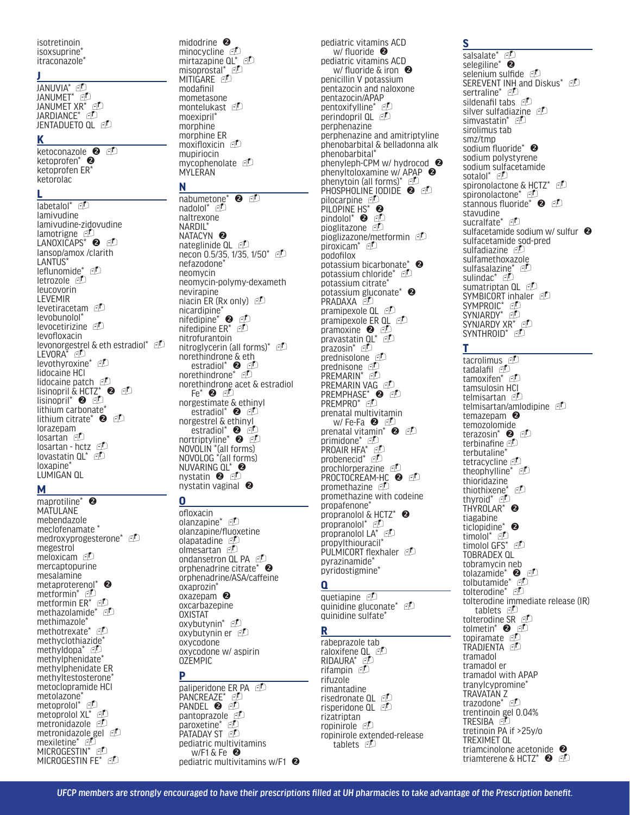isotretinoin isoxsuprine\* itraconazole\*

**JANUVIA<sup>\*</sup>** JANUMET XR\* JARDIANCE\* **D** JENTADUETO QL **D** 

## K

ketoconazole <sup>2</sup> ketoprofen\* <sup>o</sup> ketoprofen ER\* ketorolac

labetalol<sup>\*</sup> lamivudine lamivudine-zidovudine lamotrigne  $\mathbb{C}$ LANOXICAPS<sup>\*</sup> <sup>0</sup> lansop/amox /clarith LANTUS<sup>\*</sup> leflunomide\* **D** letrozole **D** leucovorin **LEVEMIR** levetiracetam **D** levobunolol\* levocetirizine **D** levofloxacin levonorgestrel & eth estradiol\* **D** LEVORA<sup>\*</sup> levothyroxine\* **D** lidocaine HCI lidocaine patch  $\mathbb{C}$ lisinopril & HCTZ\* <sup>O</sup> <u>of</u> lithium carbonate\* lithium citrate\* <sup>0</sup> lorazepam losartan D losartan - hctz **D** lovastatin QL\* cD loxapine<sup>\*</sup> LUMIGAN OL

## м

maprotiline\* <sup>o</sup> **MATULANE** mebendazole meclofenamate \* medroxyprogesterone\* **D** megestrol meloxicam **D** mercaptopurine mesalamine metaproterenol\* <sup>o</sup> metformin<sup>\*</sup> metformin ER\* FL methazolamide\* **D** methimazole\* methotrexate\* **D** methyclothiazide\* methyldopa<sup>\*</sup> methylphenidate\* methylphenidate ER methyltestosterone metoclopramide HCI metolazone\*<br>metoprolol\* <u>of</u> metoprolol  $\overline{X}$  <sup>1</sup> metronidazole **D** metronidazole gel **D** mexiletine\* nD MICROGESTIN<sup>\*</sup> MICROGESTIN FE\* AD

midodrine  $\bullet$ minocycline  $\mathbb{C}$ mirtazapine QL\* misoprostal\* **D** MITIGARE OD modafinil mometasone montelukast **D** moexipril\* morphine morphine ER moxifloxicin  $\mathbb{C}$ mupiriocin mycophenolate **D** MYLERAN

## N

nabumetone\* 2 ① nadolol<sup>\*</sup> ① naltrexone NARDIL\* NATACYN<sup>®</sup> nateglinide QL fD necon 0.5/35, 1/35, 1/50\* nefazodone<sup>\*</sup> neomycin neomycin-polymy-dexameth nevirapine niacin ER (Rx only)  $\mathbb{C}$ nicardipine<sup>\*</sup>  $nifedipine^*$   $\bullet$  of nifedipine ER\* **D** nitrofurantoin nitroglycerin (all forms)\* **D** morethindrone & eth<br>estradiol\*  $\bullet$  eth norethindrone\* ① norethindrone acet & estradiol  $Fe^*$  2  $nD$ norgestimate & ethinyl<br>estradiol<sup>\*</sup>  $\bullet$  ething norgestrel & ethinyl estradiol\* <br>
nortriptyline\* <br> **a** *c* NOVOLIN \*(all forms)<br>NOVOLOG \*(all forms) NUVARING OL<sup>\*</sup> <sup>2</sup> nystatin <sup>3</sup> nystatin vaginal  $\bullet$ 

## n

ofloxacin olanzapine\* **D** olanzapine/fluoxetine olapatadine **D** olmesartan **D** ondansetron QL PA @D orphenadrine citrate\* <sup>●</sup> orphenadrine/ASA/caffeine oxaprozin<sup>\*</sup> oxazepam <sup>@</sup> oxcarbazepine **OXISTAT**  $oxy$ butynin<sup>\*</sup> oxybutynin er D oxycodone oxycodone w/ aspirin **OZEMPIC** 

paliperidone ER PA D PANCREAZE<sup>\*</sup> PANDEL <sup>2</sup> pantoprazole **D** paroxetine\* cD PATADAY ST pediatric multivitamins  $W/F1$  & Fe  $\odot$ pediatric multivitamins  $w/F1$   $\bullet$ 

pediatric vitamins ACD w/fluoride <sup>@</sup> pediatric vitamins ACD w/ fluoride  $\&$  iron  $\bigcirc$ penicillin V potassium pentazocin and naloxone pentazocin/APAP pentoxifylline\* **D**<br>perindopril QL perphenazine perphenazine and amitriptyline phenobarbital & belladonna alk phenobarbital\* phenyleph-CPM w/ hydrocod O phenyltoloxamine w/  $APAP$   $\bullet$ phenytoin (all forms)\* cD PHOSPHOLINE IODIDE <sup>2</sup> pilocarpine  $\mathbb{C}$ PILOPINE HS\* <sup>@</sup>  $pindolol^*$   $\bullet$   $\circled{1}$ pioglitazone <u>D</u> pioglizazone/metformin **D** piroxicam<sup>\*</sup> podofilox potassium bicarbonate\* <sup>●</sup> potassium chloride\* **D** potassium citrate\* potassium gluconate\* <sup>@</sup> PRADAXA L pramipexole QL **D** pramipexole ER QL *cD*<br>pramoxine **@** cD<br>pravastatin QL\* cD prazosin<sup>\*</sup> prednisolone **D** prednisone **D**<br>PREMARIN<sup>\*</sup> *D* PREMARIN VAG **D** PREMPHASE<sup>\*</sup> <sup>2</sup> PREMPRO<sup>\*</sup> prenatal multivitamin  $W$ /Fe-Fa  $\bullet$   $\circ$ prenatal vitamin<sup>\*</sup>  $\bullet$   $\circ$ primidone\* **D** PROAIR HFA<sup>\*</sup> prochlorperazine **D** PROCTOCREAM-HC <sup>2</sup> promethazine <u>of</u> promethazine with codeine propafenone<sup>\*</sup> propranolol &  $HCTZ^*$   $\bullet$ propranolol\* cD propranolol LA\* cD propylthiouracil<sup>\*</sup> PULMICORT flexhaler **D** pyrazinamide\* pyridostigmine\*

## Q

quetiapine **D** quinidine gluconate\* cD quinidine sulfate\*

## R

rabeprazole tab raloxifene QL @D RIDAURA<sup>\*</sup> rifampin **①** rifuzole rimantadine risedronate QL ① risperidone QL **D** rizatriptan ropinirole **D** ropinirole extended-release tablets **D** 

## S

salsalate\* cD selegiline\* $\bullet$ selenium sulfide **D** SEREVENT INH and Diskus\* **D** sertraline\* **fl** sildenafil tabs **D** silver sulfadiazine **D** simvastatin<sup>\*</sup> sirolimus tab smz/tmp sodium fluoride\* <sup>o</sup> sodium polystyrene sodium sulfacetamide sotalol<sup>\*</sup> ① spironolactone & HCTZ\* DD spironolactone<sup>\*</sup> stannous fluoride\* <sup>9</sup> stavudine sucralfate\* **D** sulfacetamide sodium w/ sulfur <sup>@</sup> sulfacetamide sod-pred sulfadiazine *D* sulfamethoxazole sulfasalazine\* dD sulindac<sup>\*</sup>  $\mathbb{D}$ sumatriptan QL D SYMBICORT inhaler **D** SYMPROIC<sup>\*</sup> <u>O</u> SYNJARDY XR<sup>\*</sup> SYNTHROID<sup>\*</sup>

tacrolimus **D** tadalafil f<sup>1</sup>  $t$ amoxifen $\widetilde{f}$ tamsulosin HCI telmisartan L telmisartan/amlodipine cD temazepam  $\bullet$ temozolomide terazosin\* <sup>0</sup> terbinafine terbutaline' tetracycline cD theophylline\* $\circ$ thioridazine thiothixene\*<br>thyroid\* **D** ∣বাী THYROLAR<sup>\*</sup> tiagabine ticlopidine\* <sup>o</sup>  $timolol^*$ timolol GFS\* **D TOBRADEX OL** tobramycin neb tolazamide\* <br>bibutamide\* **of** tolterodine\* nD tolterodine immediate release (IR) tablets d tolterodine SR fD tolmetin<sup>\*</sup>  $\bullet$   $\circled{D}$ topiramate cD TRADJENTA PD tramadol tramadol er tramadol with APAP tranylcypromine<sup>®</sup> **TRAVATAN Z** trazodone\* cD trentinoin gel 0.04%<br>TRESIBA tretinoin PA if >25y/o TREXIMET OL triamcinolone acetonide <sup>@</sup> triamterene & HCTZ\* <sup>●</sup>